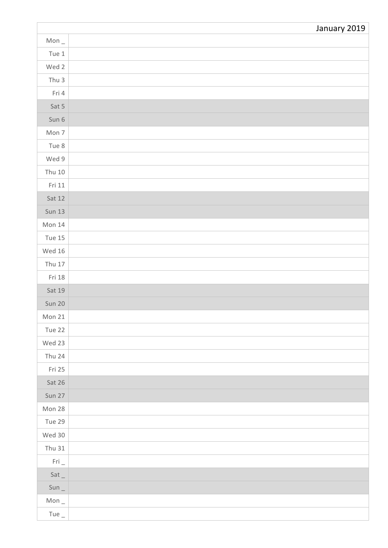|                        | January 2019 |
|------------------------|--------------|
| Mon $_{-}$             |              |
| Tue $1$                |              |
| Wed 2                  |              |
| Thu $3$                |              |
| Fri 4                  |              |
| Sat 5                  |              |
| Sun 6                  |              |
| Mon 7                  |              |
| Tue 8                  |              |
| Wed 9                  |              |
| Thu $10$               |              |
| Fri 11                 |              |
| Sat 12                 |              |
| <b>Sun 13</b>          |              |
| Mon 14                 |              |
| Tue $15$               |              |
| Wed $16$               |              |
| Thu $17$               |              |
| Fri 18                 |              |
| Sat 19                 |              |
| Sun 20                 |              |
| Mon $21$               |              |
| Tue 22                 |              |
| Wed 23                 |              |
| Thu 24                 |              |
| Fri 25                 |              |
| Sat 26                 |              |
| Sun 27                 |              |
| Mon 28                 |              |
| Tue 29                 |              |
| Wed 30                 |              |
| Thu $31$               |              |
| $\mathsf{Fri}\,\_\!\_$ |              |
| Sat                    |              |
| $Sun_$                 |              |
| Mon $_{-}$             |              |
| Tue $_{-}$             |              |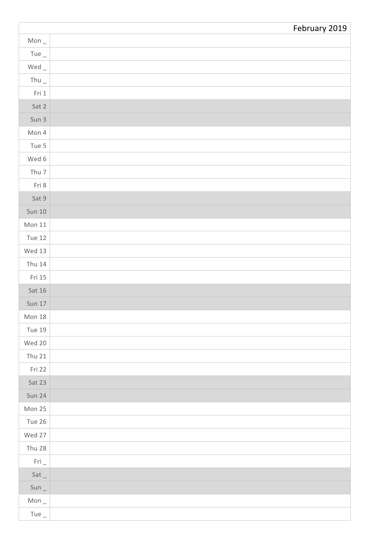|               | February 2019 |
|---------------|---------------|
| Mon $_{-}$    |               |
| Tue $_{-}$    |               |
| $Wed$ $_{-}$  |               |
| Thu $_{-}$    |               |
| Fri 1         |               |
| Sat 2         |               |
| Sun 3         |               |
| Mon 4         |               |
| Tue 5         |               |
| Wed 6         |               |
| Thu $7$       |               |
| Fri 8         |               |
| Sat 9         |               |
| <b>Sun 10</b> |               |
| Mon 11        |               |
| <b>Tue 12</b> |               |
| Wed $13$      |               |
| <b>Thu 14</b> |               |
| Fri 15        |               |
| Sat $16$      |               |
| <b>Sun 17</b> |               |
| Mon $18$      |               |
| <b>Tue 19</b> |               |
| Wed 20        |               |
| <b>Thu 21</b> |               |
| Fri 22        |               |
| Sat 23        |               |
| <b>Sun 24</b> |               |
| Mon 25        |               |
| Tue 26        |               |
| Wed 27        |               |
| Thu 28        |               |
| Fri           |               |
| Sat           |               |
| $Sun_$        |               |
| Mon $_{-}$    |               |
| Tue $_{-}$    |               |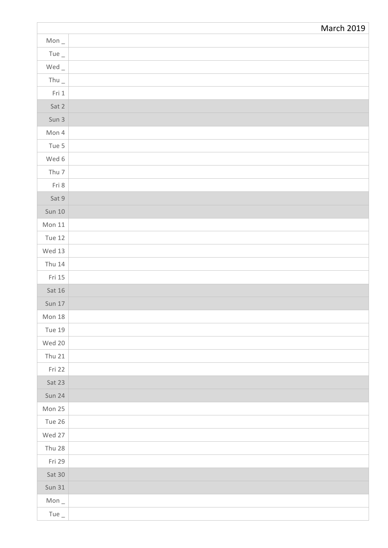|                                     | <b>March 2019</b> |
|-------------------------------------|-------------------|
| Mon $_{-}$                          |                   |
| Tue $_{-}$                          |                   |
| $\mathsf{Wed}\,\rule{0pt}{1.5pt}\,$ |                   |
| Thu $\_$                            |                   |
| Fri 1                               |                   |
| Sat 2                               |                   |
| Sun 3                               |                   |
| Mon 4                               |                   |
| Tue 5                               |                   |
| Wed 6                               |                   |
| Thu $7$                             |                   |
| Fri 8                               |                   |
| Sat 9                               |                   |
| <b>Sun 10</b>                       |                   |
| Mon $11$                            |                   |
| <b>Tue 12</b>                       |                   |
| Wed 13                              |                   |
| Thu 14                              |                   |
| Fri 15                              |                   |
| Sat $16$                            |                   |
| <b>Sun 17</b>                       |                   |
| Mon $18$                            |                   |
| <b>Tue 19</b>                       |                   |
| Wed 20                              |                   |
| <b>Thu 21</b>                       |                   |
| Fri 22                              |                   |
| Sat 23                              |                   |
| <b>Sun 24</b>                       |                   |
| Mon 25                              |                   |
| Tue 26                              |                   |
| Wed 27                              |                   |
| Thu 28                              |                   |
| Fri 29                              |                   |
| Sat 30                              |                   |
| <b>Sun 31</b>                       |                   |
| Mon $_{-}$                          |                   |
| Tue $_{-}$                          |                   |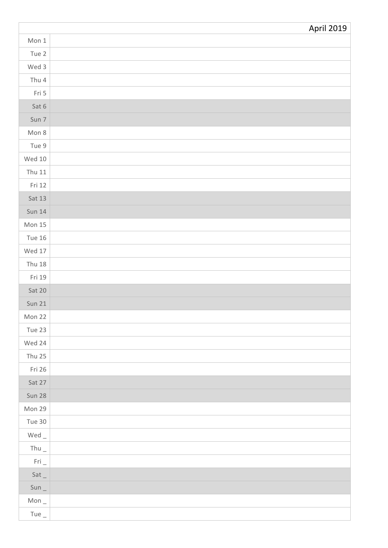|               | <b>April 2019</b> |
|---------------|-------------------|
| Mon 1         |                   |
| Tue 2         |                   |
| Wed 3         |                   |
| Thu $4$       |                   |
| Fri 5         |                   |
| Sat 6         |                   |
| Sun 7         |                   |
| Mon 8         |                   |
| Tue 9         |                   |
| Wed $10$      |                   |
| Thu 11        |                   |
| Fri 12        |                   |
| Sat 13        |                   |
| <b>Sun 14</b> |                   |
| Mon $15$      |                   |
| <b>Tue 16</b> |                   |
| Wed $17$      |                   |
| <b>Thu 18</b> |                   |
| Fri 19        |                   |
| Sat 20        |                   |
| <b>Sun 21</b> |                   |
| Mon 22        |                   |
| Tue 23        |                   |
| Wed 24        |                   |
| <b>Thu 25</b> |                   |
| Fri 26        |                   |
| Sat 27        |                   |
| <b>Sun 28</b> |                   |
| Mon 29        |                   |
| Tue 30        |                   |
| Wed $\_$      |                   |
| Thu $_{-}$    |                   |
| Fri           |                   |
| Sat           |                   |
| $Sun_$        |                   |
| Mon $_{-}$    |                   |
| Tue $_{-}$    |                   |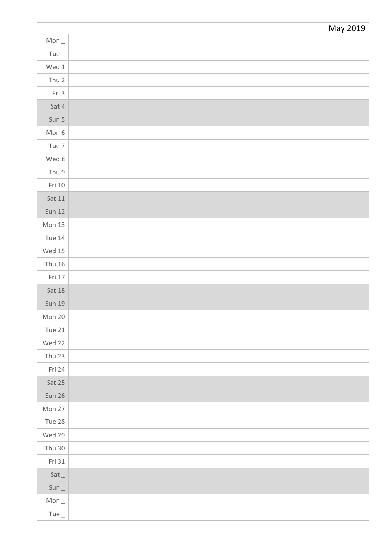|               | May 2019 |
|---------------|----------|
| Mon $_{-}$    |          |
| Tue $_{-}$    |          |
| Wed $1$       |          |
| Thu 2         |          |
| Fri 3         |          |
| Sat 4         |          |
| Sun 5         |          |
| Mon 6         |          |
| Tue 7         |          |
| Wed 8         |          |
| Thu 9         |          |
| Fri 10        |          |
| Sat 11        |          |
| <b>Sun 12</b> |          |
| Mon 13        |          |
| <b>Tue 14</b> |          |
| Wed $15$      |          |
| Thu $16$      |          |
| Fri 17        |          |
| Sat $18$      |          |
| <b>Sun 19</b> |          |
| Mon 20        |          |
| Tue $21$      |          |
| Wed 22        |          |
| <b>Thu 23</b> |          |
| Fri 24        |          |
| Sat 25        |          |
| Sun 26        |          |
| Mon 27        |          |
| Tue 28        |          |
| Wed 29        |          |
| Thu $30$      |          |
| Fri 31        |          |
| Sat           |          |
| $Sun_$        |          |
| Mon $_{-}$    |          |
| Tue $_{-}$    |          |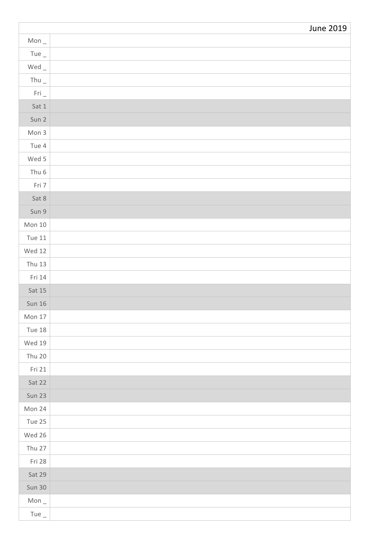|               | <b>June 2019</b> |
|---------------|------------------|
| Mon $_{-}$    |                  |
| Tue $\_$      |                  |
| $Wed$ _       |                  |
| Thu $_{-}$    |                  |
| Fri           |                  |
| Sat 1         |                  |
| Sun 2         |                  |
| Mon 3         |                  |
| Tue 4         |                  |
| Wed 5         |                  |
| Thu $6$       |                  |
| Fri 7         |                  |
| Sat 8         |                  |
| Sun 9         |                  |
| Mon $10$      |                  |
| Tue $11$      |                  |
| Wed $12$      |                  |
| <b>Thu 13</b> |                  |
| Fri 14        |                  |
| Sat 15        |                  |
| <b>Sun 16</b> |                  |
| Mon $17$      |                  |
| <b>Tue 18</b> |                  |
| Wed 19        |                  |
| Thu $20$      |                  |
| Fri 21        |                  |
| Sat 22        |                  |
| <b>Sun 23</b> |                  |
| Mon 24        |                  |
| Tue 25        |                  |
| Wed 26        |                  |
| Thu 27        |                  |
| Fri 28        |                  |
| Sat 29        |                  |
| Sun 30        |                  |
| Mon $_{-}$    |                  |
| Tue $_{-}$    |                  |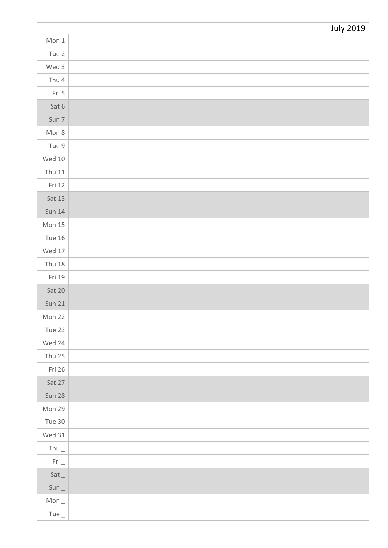|                                     | <b>July 2019</b> |
|-------------------------------------|------------------|
| Mon 1                               |                  |
| Tue 2                               |                  |
| Wed 3                               |                  |
| Thu $4$                             |                  |
| Fri 5                               |                  |
| Sat 6                               |                  |
| Sun 7                               |                  |
| Mon 8                               |                  |
| Tue 9                               |                  |
| Wed $10$                            |                  |
| Thu $11$                            |                  |
| Fri 12                              |                  |
| Sat 13                              |                  |
| <b>Sun 14</b>                       |                  |
| Mon $15$                            |                  |
| <b>Tue 16</b>                       |                  |
| Wed $17$                            |                  |
| <b>Thu 18</b>                       |                  |
| Fri 19                              |                  |
| Sat 20                              |                  |
| <b>Sun 21</b>                       |                  |
| Mon 22                              |                  |
| Tue 23                              |                  |
| Wed 24                              |                  |
| Thu $25$                            |                  |
| Fri 26                              |                  |
| Sat 27                              |                  |
| Sun 28                              |                  |
| Mon 29                              |                  |
| Tue 30                              |                  |
| Wed $31$                            |                  |
| Thu $_{-}$                          |                  |
| $\mathsf{Fri}\,\rule{0pt}{1.5pt}\,$ |                  |
| Sat                                 |                  |
| $Sun_$                              |                  |
| Mon $_{-}$                          |                  |
| Tue $_{-}$                          |                  |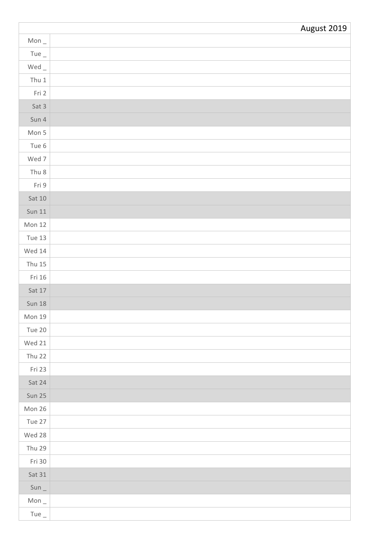|               | August 2019 |
|---------------|-------------|
| Mon $_{-}$    |             |
| Tue $_{-}$    |             |
| $Wed$ $-$     |             |
| Thu $1$       |             |
| Fri 2         |             |
| Sat 3         |             |
| Sun 4         |             |
| Mon 5         |             |
| Tue 6         |             |
| Wed 7         |             |
| Thu $8$       |             |
| Fri 9         |             |
| Sat 10        |             |
| <b>Sun 11</b> |             |
| Mon $12$      |             |
| Tue 13        |             |
| Wed $14$      |             |
| <b>Thu 15</b> |             |
| Fri 16        |             |
| Sat 17        |             |
| <b>Sun 18</b> |             |
| Mon 19        |             |
| Tue 20        |             |
| Wed 21        |             |
| <b>Thu 22</b> |             |
| Fri 23        |             |
| Sat 24        |             |
| <b>Sun 25</b> |             |
| Mon 26        |             |
| Tue 27        |             |
| Wed 28        |             |
| <b>Thu 29</b> |             |
| Fri 30        |             |
| Sat 31        |             |
| $Sun_$        |             |
| Mon $_{-}$    |             |
| Tue $_{-}$    |             |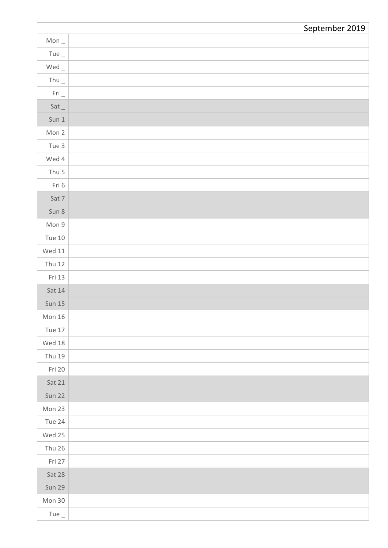|                  | September 2019 |
|------------------|----------------|
| Mon $_{-}$       |                |
| Tue $_{-}$       |                |
| $Wed_$           |                |
| Thu $_{-}$       |                |
| $Fri_$           |                |
| Sat              |                |
| Sun <sub>1</sub> |                |
| Mon 2            |                |
| Tue 3            |                |
| Wed 4            |                |
| Thu $5$          |                |
| Fri 6            |                |
| Sat 7            |                |
| Sun 8            |                |
| Mon 9            |                |
| Tue $10$         |                |
| Wed $11$         |                |
| <b>Thu 12</b>    |                |
| Fri 13           |                |
| Sat 14           |                |
| Sun $15$         |                |
| Mon 16           |                |
| Tue 17           |                |
| Wed $18$         |                |
| Thu 19           |                |
| Fri 20           |                |
| Sat 21           |                |
| <b>Sun 22</b>    |                |
| Mon 23           |                |
| Tue 24           |                |
| Wed 25           |                |
| Thu $26$         |                |
| Fri 27           |                |
| Sat 28           |                |
| Sun 29           |                |
| Mon 30           |                |
| Tue $_{-}$       |                |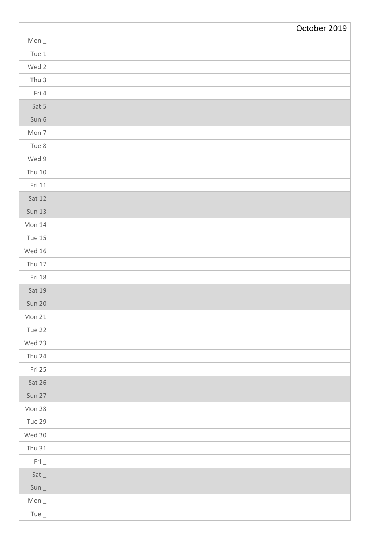|                        | October 2019 |
|------------------------|--------------|
| Mon $_{-}$             |              |
| Tue $1$                |              |
| Wed 2                  |              |
| Thu $3$                |              |
| Fri 4                  |              |
| Sat 5                  |              |
| Sun 6                  |              |
| Mon 7                  |              |
| Tue 8                  |              |
| Wed 9                  |              |
| Thu $10$               |              |
| Fri 11                 |              |
| Sat 12                 |              |
| <b>Sun 13</b>          |              |
| Mon $14$               |              |
| Tue 15                 |              |
| Wed 16                 |              |
| Thu $17$               |              |
| Fri 18                 |              |
| Sat 19                 |              |
| <b>Sun 20</b>          |              |
| Mon 21                 |              |
| Tue 22                 |              |
| Wed 23                 |              |
| Thu 24                 |              |
| Fri 25                 |              |
| Sat 26                 |              |
| Sun 27                 |              |
| Mon 28                 |              |
| Tue 29                 |              |
| Wed 30                 |              |
| Thu $31$               |              |
| $\mathsf{Fri}\,\_\!\_$ |              |
| Sat                    |              |
| $Sun_$                 |              |
| Mon $_{-}$             |              |
| Tue $_{-}$             |              |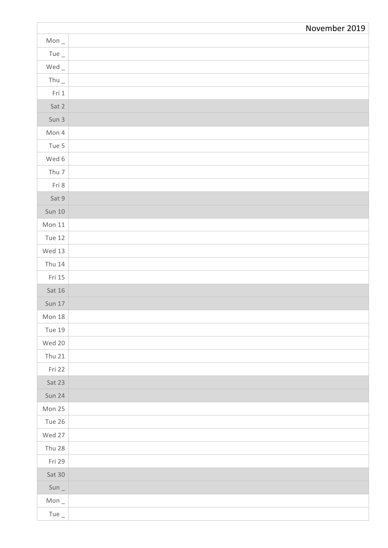|               | November 2019 |
|---------------|---------------|
| Mon $_{-}$    |               |
| Tue $_{-}$    |               |
| $Wed$ $-$     |               |
| Thu $\_$      |               |
| Fri 1         |               |
| Sat 2         |               |
| Sun 3         |               |
| Mon 4         |               |
| Tue 5         |               |
| Wed 6         |               |
| Thu 7         |               |
| Fri 8         |               |
| Sat 9         |               |
| <b>Sun 10</b> |               |
| Mon $11$      |               |
| <b>Tue 12</b> |               |
| Wed $13$      |               |
| <b>Thu 14</b> |               |
| Fri 15        |               |
| Sat 16        |               |
| <b>Sun 17</b> |               |
| Mon 18        |               |
| <b>Tue 19</b> |               |
| Wed 20        |               |
| <b>Thu 21</b> |               |
| Fri 22        |               |
| Sat 23        |               |
| <b>Sun 24</b> |               |
| Mon 25        |               |
| Tue 26        |               |
| Wed 27        |               |
| Thu 28        |               |
| Fri 29        |               |
| $Sat$ 30      |               |
| Sun           |               |
| Mon $_{-}$    |               |
| Tue $_{-}$    |               |